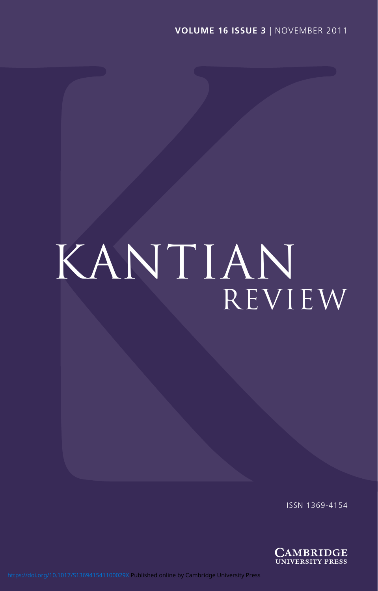# KANTIAN review

ISSN 1369-4154

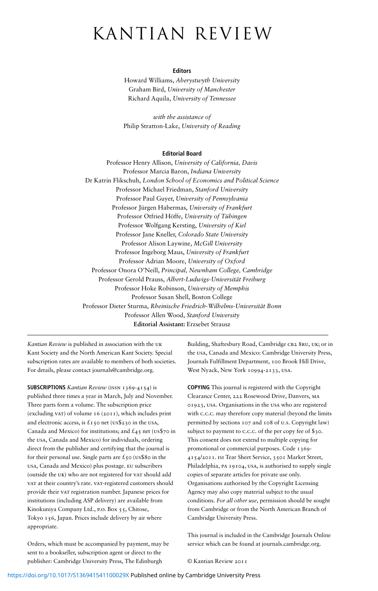## kantian review

#### **Editors**

Howard Williams, *Aberystwyth University* Graham Bird, *University of Manchester* Richard Aquila, *University of Tennessee*

*with the assistance of* Philip Stratton-Lake, *University of Reading*

#### **Editorial Board**

Professor Henry Allison, *University of California, Davis* Professor Marcia Baron, *Indiana University* Dr Katrin Flikschuh, *London School of Economics and Political Science* Professor Michael Friedman, *Stanford University* Professor Paul Guyer, *University of Pennsylvania* Professor Jürgen Habermas, *University of Frankfurt* Professor Otfried Höffe, *University of Tübingen* Professor Wolfgang Kersting, *University of Kiel* Professor Jane Kneller, *Colorado State University* Professor Alison Laywine, *McGill University* Professor Ingeborg Maus, *University of Frankfurt* Professor Adrian Moore, *University of Oxford* Professor Onora O'Neill, *Principal, Newnham College, Cambridge* Professor Gerold Prauss, *Albert-Ludwigs-Universität Freiburg* Professor Hoke Robinson, *University of Memphis* Professor Susan Shell, Boston College Professor Dieter Sturma, *Rheinische Friedrich-Wilhelms-Universität Bonn* Professor Allen Wood, *Stanford University* **Editorial Assistant:** Erzsebet Strausz

*Kantian Review* is published in association with the uk Kant Society and the North American Kant Society. Special subscription rates are available to members of both societies. For details, please contact journals@cambridge.org.

**SUBSCRIPTIONS** *Kantian Review* (issn 1369-4154) is published three times a year in March, July and November. Three parts form a volume. The subscription price (excluding var) of volume  $16$  ( $2011$ ), which includes print and electronic access, is  $\pounds$ 150 net (us\$230 in the usA, Canada and Mexico) for institutions; and  $\pounds$ 45 net (us\$70 in the usa, Canada and Mexico) for individuals, ordering direct from the publisher and certifying that the journal is for their personal use. Single parts are  $\pounds$ 50 (us\$80 in the usa, Canada and Mexico) plus postage. eu subscribers (outside the UK) who are not registered for VAT should add vat at their country's rate. vat-registered customers should provide their vat registration number. Japanese prices for institutions (including ASP delivery) are available from Kinokuniya Company Ltd., p.o. Box 55, Chitose, Tokyo 156, Japan. Prices include delivery by air where appropriate.

Orders, which must be accompanied by payment, may be sent to a bookseller, subscription agent or direct to the publisher: Cambridge University Press, The Edinburgh

Building, Shaftesbury Road, Cambridge CB2 8RU, UK; or in the usa, Canada and Mexico: Cambridge University Press, Journals Fulfillment Department, 100 Brook Hill Drive, West Nyack, New York 10994-2133, usa.

**COPYING** This journal is registered with the Copyright Clearance Center, 222 Rosewood Drive, Danvers, ma 01923, usa. Organisations in the usa who are registered with c.c.c. may therefore copy material (beyond the limits permitted by sections 107 and 108 of u.s. Copyright law) subject to payment to c.c.c. of the per copy fee of \$30. This consent does not extend to multiple copying for promotional or commercial purposes. Code 1369- 4154/2011. isi Tear Sheet Service, 3501 Market Street, Philadelphia, pa 19104, usa, is authorised to supply single copies of separate articles for private use only. Organisations authorised by the Copyright Licensing Agency may also copy material subject to the usual conditions. *For all other use*, permission should be sought from Cambridge or from the North American Branch of Cambridge University Press.

This journal is included in the Cambridge Journals Online service which can be found at journals.cambridge.org.

© Kantian Review 2011